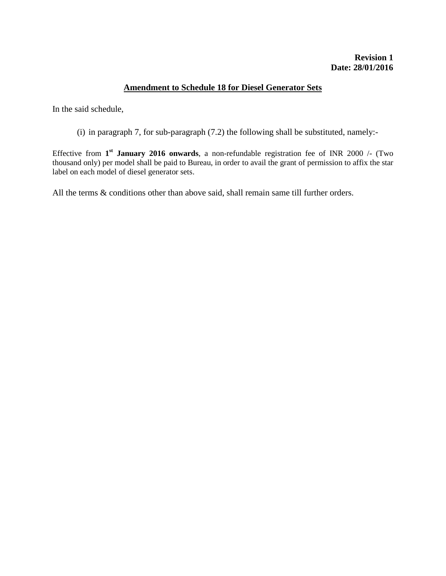# **Amendment to Schedule 18 for Diesel Generator Sets**

In the said schedule,

(i) in paragraph 7, for sub-paragraph (7.2) the following shall be substituted, namely:-

Effective from **1 st January 2016 onwards**, a non-refundable registration fee of INR 2000 /- (Two thousand only) per model shall be paid to Bureau, in order to avail the grant of permission to affix the star label on each model of diesel generator sets.

All the terms & conditions other than above said, shall remain same till further orders.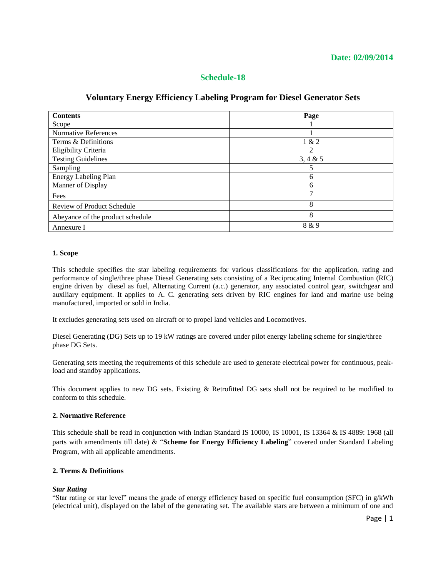# **Schedule-18**

# **Voluntary Energy Efficiency Labeling Program for Diesel Generator Sets**

| <b>Contents</b>                  | Page           |
|----------------------------------|----------------|
| Scope                            |                |
| Normative References             |                |
| Terms & Definitions              | 1 & 2          |
| Eligibility Criteria             | $\mathfrak{D}$ |
| <b>Testing Guidelines</b>        | 3, 4 & 5       |
| Sampling                         | 5              |
| Energy Labeling Plan             | 6              |
| Manner of Display                | 6              |
| Fees                             | ⇁              |
| Review of Product Schedule       | 8              |
| Abeyance of the product schedule | 8              |
| Annexure I                       | 8 & 9          |

#### **1. Scope**

This schedule specifies the star labeling requirements for various classifications for the application, rating and performance of single/three phase Diesel Generating sets consisting of a Reciprocating Internal Combustion (RIC) engine driven by diesel as fuel, Alternating Current (a.c.) generator, any associated control gear, switchgear and auxiliary equipment. It applies to A. C. generating sets driven by RIC engines for land and marine use being manufactured, imported or sold in India.

It excludes generating sets used on aircraft or to propel land vehicles and Locomotives.

Diesel Generating (DG) Sets up to 19 kW ratings are covered under pilot energy labeling scheme for single/three phase DG Sets.

Generating sets meeting the requirements of this schedule are used to generate electrical power for continuous, peakload and standby applications.

This document applies to new DG sets. Existing & Retrofitted DG sets shall not be required to be modified to conform to this schedule.

#### **2. Normative Reference**

This schedule shall be read in conjunction with Indian Standard IS 10000, IS 10001, IS 13364 & IS 4889: 1968 (all parts with amendments till date) & "**Scheme for Energy Efficiency Labeling**" covered under Standard Labeling Program, with all applicable amendments.

## **2. Terms & Definitions**

## *Star Rating*

"Star rating or star level" means the grade of energy efficiency based on specific fuel consumption (SFC) in g/kWh (electrical unit), displayed on the label of the generating set. The available stars are between a minimum of one and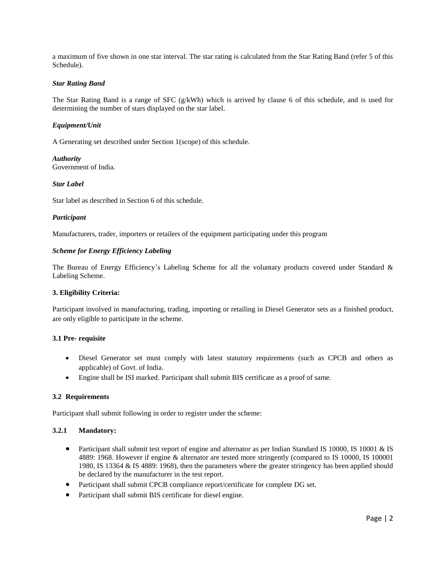a maximum of five shown in one star interval. The star rating is calculated from the Star Rating Band (refer 5 of this Schedule).

#### *Star Rating Band*

The Star Rating Band is a range of SFC (g/kWh) which is arrived by clause 6 of this schedule, and is used for determining the number of stars displayed on the star label.

### *Equipment/Unit*

A Generating set described under Section 1(scope) of this schedule.

*Authority* Government of India.

### *Star Label*

Star label as described in Section 6 of this schedule.

#### *Participant*

Manufacturers, trader, importers or retailers of the equipment participating under this program

### *Scheme for Energy Efficiency Labeling*

The Bureau of Energy Efficiency's Labeling Scheme for all the voluntary products covered under Standard & Labeling Scheme.

## **3. Eligibility Criteria:**

Participant involved in manufacturing, trading, importing or retailing in Diesel Generator sets as a finished product, are only eligible to participate in the scheme.

#### **3.1 Pre- requisite**

- Diesel Generator set must comply with latest statutory requirements (such as CPCB and others as applicable) of Govt. of India.
- Engine shall be ISI marked. Participant shall submit BIS certificate as a proof of same.

#### **3.2 Requirements**

Participant shall submit following in order to register under the scheme:

#### **3.2.1 Mandatory:**

- Participant shall submit test report of engine and alternator as per Indian Standard IS 10000, IS 10001 & IS 4889: 1968. However if engine & alternator are tested more stringently (compared to IS 10000, IS 100001 1980, IS 13364 & IS 4889: 1968), then the parameters where the greater stringency has been applied should be declared by the manufacturer in the test report.
- Participant shall submit CPCB compliance report/certificate for complete DG set.
- Participant shall submit BIS certificate for diesel engine.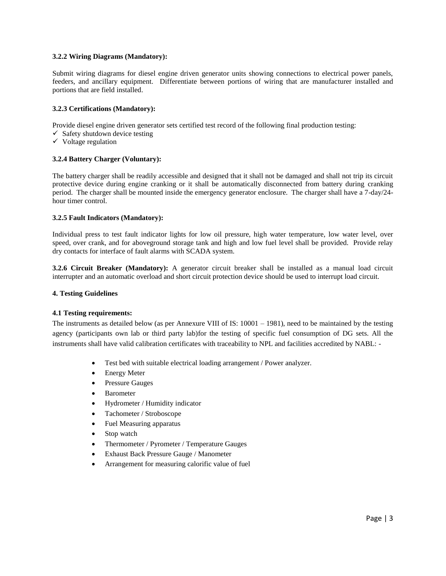### **3.2.2 Wiring Diagrams (Mandatory):**

Submit wiring diagrams for diesel engine driven generator units showing connections to electrical power panels, feeders, and ancillary equipment. Differentiate between portions of wiring that are manufacturer installed and portions that are field installed.

### **3.2.3 Certifications (Mandatory):**

Provide diesel engine driven generator sets certified test record of the following final production testing:

- $\checkmark$  Safety shutdown device testing
- $\checkmark$  Voltage regulation

### **3.2.4 Battery Charger (Voluntary):**

The battery charger shall be readily accessible and designed that it shall not be damaged and shall not trip its circuit protective device during engine cranking or it shall be automatically disconnected from battery during cranking period. The charger shall be mounted inside the emergency generator enclosure. The charger shall have a 7-day/24 hour timer control.

### **3.2.5 Fault Indicators (Mandatory):**

Individual press to test fault indicator lights for low oil pressure, high water temperature, low water level, over speed, over crank, and for aboveground storage tank and high and low fuel level shall be provided. Provide relay dry contacts for interface of fault alarms with SCADA system.

**3.2.6 Circuit Breaker (Mandatory):** A generator circuit breaker shall be installed as a manual load circuit interrupter and an automatic overload and short circuit protection device should be used to interrupt load circuit.

#### **4. Testing Guidelines**

#### **4.1 Testing requirements:**

The instruments as detailed below (as per Annexure VIII of IS: 10001 – 1981), need to be maintained by the testing agency (participants own lab or third party lab)for the testing of specific fuel consumption of DG sets. All the instruments shall have valid calibration certificates with traceability to NPL and facilities accredited by NABL: -

- Test bed with suitable electrical loading arrangement / Power analyzer.
- Energy Meter
- Pressure Gauges
- Barometer
- Hydrometer / Humidity indicator
- Tachometer / Stroboscope
- Fuel Measuring apparatus
- Stop watch
- Thermometer / Pyrometer / Temperature Gauges
- Exhaust Back Pressure Gauge / Manometer
- Arrangement for measuring calorific value of fuel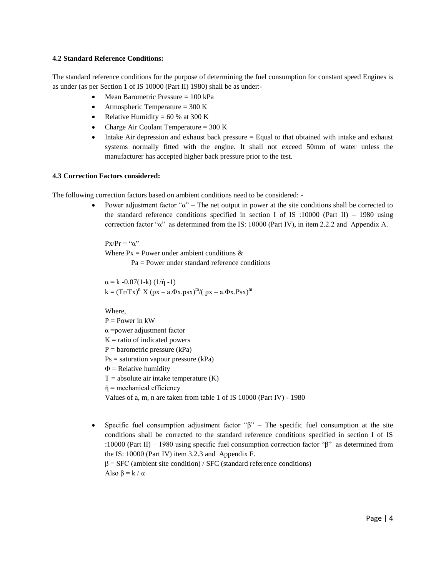#### **4.2 Standard Reference Conditions:**

The standard reference conditions for the purpose of determining the fuel consumption for constant speed Engines is as under (as per Section 1 of IS 10000 (Part II) 1980) shall be as under:-

- $\bullet$  Mean Barometric Pressure = 100 kPa
- Atmospheric Temperature  $= 300 \text{ K}$
- Relative Humidity =  $60\%$  at 300 K
- Charge Air Coolant Temperature  $= 300 \text{ K}$
- $\bullet$  Intake Air depression and exhaust back pressure  $=$  Equal to that obtained with intake and exhaust systems normally fitted with the engine. It shall not exceed 50mm of water unless the manufacturer has accepted higher back pressure prior to the test.

### **4.3 Correction Factors considered:**

The following correction factors based on ambient conditions need to be considered: -

Power adjustment factor " $\alpha$ " – The net output in power at the site conditions shall be corrected to the standard reference conditions specified in section I of IS :10000 (Part II) – 1980 using correction factor "α" as determined from the IS: 10000 (Part IV), in item 2.2.2 and Appendix A.

 $P_X/P_T = " \alpha"$ Where  $Px = Power$  under ambient conditions  $\&$  $Pa = Power$  under standard reference conditions

 $\alpha = k - 0.07(1-k) (1/\eta - 1)$  $k = (Tr/Tx)^{n} X (px - a.Φx.psx)^{m}/(px - a.Φx.Psx)^{m}$ 

Where,

 $P = Power$  in  $kW$  $\alpha$  =power adjustment factor  $K =$  ratio of indicated powers  $P =$  barometric pressure (kPa) Ps = saturation vapour pressure (kPa)  $\Phi$  = Relative humidity  $T = absolute air$  intake temperature  $(K)$  $\eta$  = mechanical efficiency Values of a, m, n are taken from table 1 of IS 10000 (Part IV) - 1980

• Specific fuel consumption adjustment factor " $\beta$ " – The specific fuel consumption at the site conditions shall be corrected to the standard reference conditions specified in section I of IS :10000 (Part II) – 1980 using specific fuel consumption correction factor "β" as determined from the IS: 10000 (Part IV) item 3.2.3 and Appendix F.  $\beta$  = SFC (ambient site condition) / SFC (standard reference conditions) Also  $\beta = k / \alpha$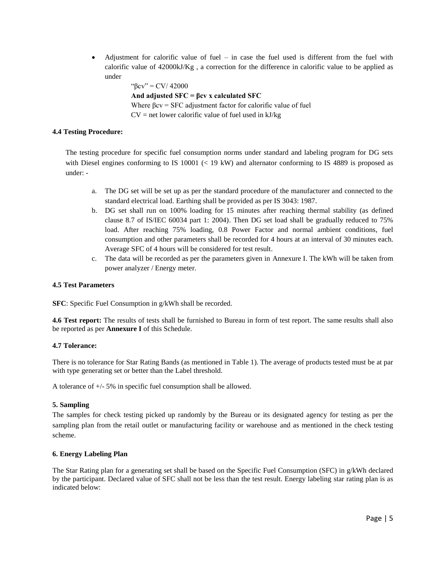Adjustment for calorific value of fuel – in case the fuel used is different from the fuel with calorific value of 42000kJ/Kg , a correction for the difference in calorific value to be applied as under

```
"βcv" = CV/ 42000
And adjusted SFC = βcv x calculated SFC
Where βcv = SFC adjustment factor for calorific value of fuel
CV = net lower calorific value of fuel used in kJ/kg
```
# **4.4 Testing Procedure:**

The testing procedure for specific fuel consumption norms under standard and labeling program for DG sets with Diesel engines conforming to IS 10001 (< 19 kW) and alternator conforming to IS 4889 is proposed as under: -

- a. The DG set will be set up as per the standard procedure of the manufacturer and connected to the standard electrical load. Earthing shall be provided as per IS 3043: 1987.
- b. DG set shall run on 100% loading for 15 minutes after reaching thermal stability (as defined clause 8.7 of IS/IEC 60034 part 1: 2004). Then DG set load shall be gradually reduced to 75% load. After reaching 75% loading, 0.8 Power Factor and normal ambient conditions, fuel consumption and other parameters shall be recorded for 4 hours at an interval of 30 minutes each. Average SFC of 4 hours will be considered for test result.
- c. The data will be recorded as per the parameters given in Annexure I. The kWh will be taken from power analyzer / Energy meter.

## **4.5 Test Parameters**

**SFC**: Specific Fuel Consumption in g/kWh shall be recorded.

**4.6 Test report:** The results of tests shall be furnished to Bureau in form of test report. The same results shall also be reported as per **Annexure I** of this Schedule.

# **4.7 Tolerance:**

There is no tolerance for Star Rating Bands (as mentioned in Table 1). The average of products tested must be at par with type generating set or better than the Label threshold.

A tolerance of +/- 5% in specific fuel consumption shall be allowed.

# **5. Sampling**

The samples for check testing picked up randomly by the Bureau or its designated agency for testing as per the sampling plan from the retail outlet or manufacturing facility or warehouse and as mentioned in the check testing scheme.

# **6. Energy Labeling Plan**

The Star Rating plan for a generating set shall be based on the Specific Fuel Consumption (SFC) in g/kWh declared by the participant. Declared value of SFC shall not be less than the test result. Energy labeling star rating plan is as indicated below: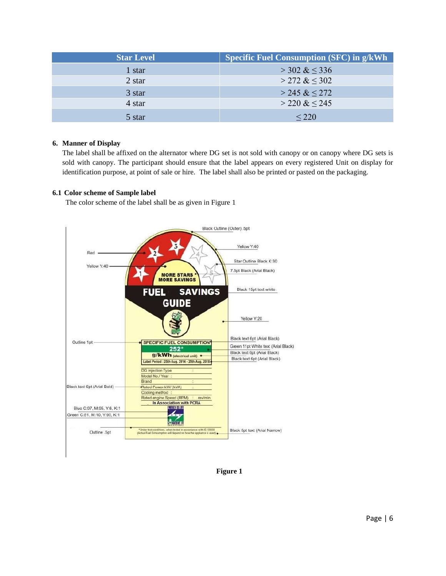| <b>Star Level</b> | <b>Specific Fuel Consumption (SFC) in g/kWh</b> |
|-------------------|-------------------------------------------------|
| 1 star            | $>$ 302 & $\leq$ 336                            |
| 2 star            | $>$ 272 & $\leq$ 302                            |
| 3 star            | $>$ 245 & $<$ 272                               |
| 4 star            | $>$ 220 & $\leq$ 245                            |
| 5 star            | < 220                                           |

# **6. Manner of Display**

The label shall be affixed on the alternator where DG set is not sold with canopy or on canopy where DG sets is sold with canopy. The participant should ensure that the label appears on every registered Unit on display for identification purpose, at point of sale or hire. The label shall also be printed or pasted on the packaging.

# **6.1 Color scheme of Sample label**

The color scheme of the label shall be as given in Figure 1



**Figure 1**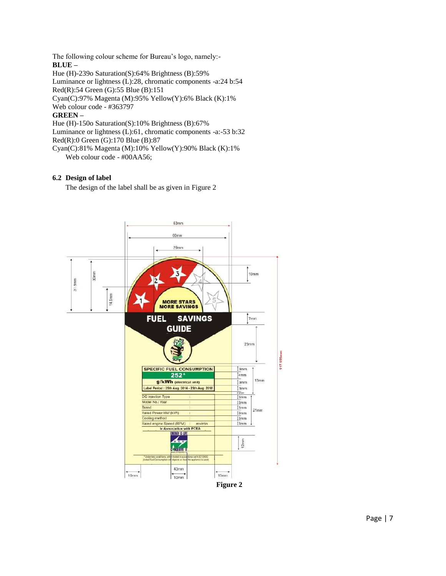The following colour scheme for Bureau's logo, namely:- **BLUE –**

Hue (H)-239o Saturation(S):64% Brightness (B):59% Luminance or lightness (L):28, chromatic components -a:24 b:54 Red(R):54 Green (G):55 Blue (B):151 Cyan(C):97% Magenta (M):95% Yellow(Y):6% Black (K):1% Web colour code - #363797 **GREEN –** Hue (H)-150o Saturation(S):10% Brightness (B):67% Luminance or lightness (L):61, chromatic components -a:-53 b:32

Red(R):0 Green (G):170 Blue (B):87

Cyan(C):81% Magenta (M):10% Yellow(Y):90% Black (K):1% Web colour code - #00AA56;

# **6.2 Design of label**

The design of the label shall be as given in Figure 2

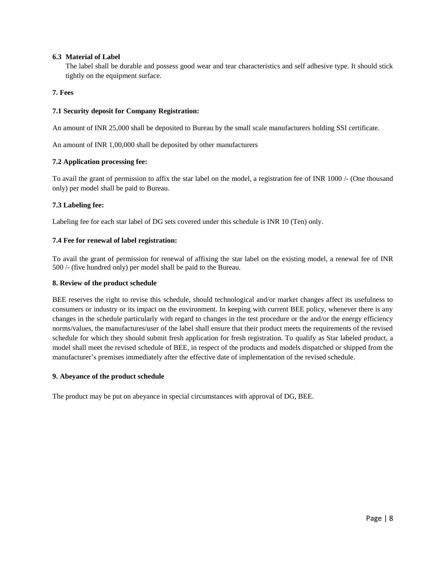## **6.3 Material of Label**

The label shall be durable and possess good wear and tear characteristics and self adhesive type. It should stick tightly on the equipment surface.

# **7. Fees**

# **7.1 Security deposit for Company Registration:**

An amount of INR 25,000 shall be deposited to Bureau by the small scale manufacturers holding SSI certificate.

An amount of INR 1,00,000 shall be deposited by other manufacturers

# **7.2 Application processing fee:**

To avail the grant of permission to affix the star label on the model, a registration fee of INR 1000 /- (One thousand only) per model shall be paid to Bureau.

# **7.3 Labeling fee:**

Labeling fee for each star label of DG sets covered under this schedule is INR 10 (Ten) only.

# **7.4 Fee for renewal of label registration:**

To avail the grant of permission for renewal of affixing the star label on the existing model, a renewal fee of INR 500 /- (five hundred only) per model shall be paid to the Bureau.

## **8. Review of the product schedule**

BEE reserves the right to revise this schedule, should technological and/or market changes affect its usefulness to consumers or industry or its impact on the environment. In keeping with current BEE policy, whenever there is any changes in the schedule particularly with regard to changes in the test procedure or the and/or the energy efficiency norms/values, the manufactures/user of the label shall ensure that their product meets the requirements of the revised schedule for which they should submit fresh application for fresh registration. To qualify as Star labeled product, a model shall meet the revised schedule of BEE, in respect of the products and models dispatched or shipped from the manufacturer's premises immediately after the effective date of implementation of the revised schedule.

## **9. Abeyance of the product schedule**

The product may be put on abeyance in special circumstances with approval of DG, BEE.